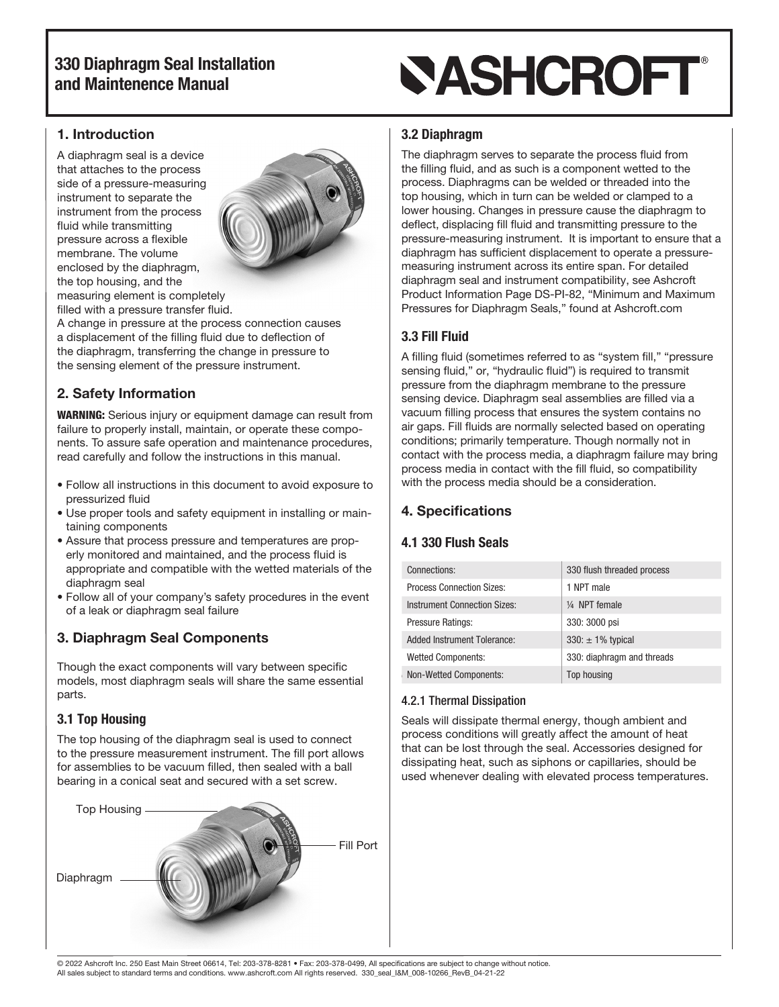## 330 Diaphragm Seal Installation and Maintenence Manual

#### 1. Introduction

A diaphragm seal is a device that attaches to the process side of a pressure-measuring instrument to separate the instrument from the process fluid while transmitting pressure across a flexible membrane. The volume enclosed by the diaphragm, the top housing, and the measuring element is completely filled with a pressure transfer fluid.



A change in pressure at the process connection causes a displacement of the filling fluid due to deflection of the diaphragm, transferring the change in pressure to the sensing element of the pressure instrument.

## 2. Safety Information

WARNING: Serious injury or equipment damage can result from failure to properly install, maintain, or operate these components. To assure safe operation and maintenance procedures, read carefully and follow the instructions in this manual.

- Follow all instructions in this document to avoid exposure to pressurized fluid
- Use proper tools and safety equipment in installing or maintaining components
- Assure that process pressure and temperatures are properly monitored and maintained, and the process fluid is appropriate and compatible with the wetted materials of the diaphragm seal
- Follow all of your company's safety procedures in the event of a leak or diaphragm seal failure

## 3. Diaphragm Seal Components

Though the exact components will vary between specific models, most diaphragm seals will share the same essential parts.

## 3.1 Top Housing

The top housing of the diaphragm seal is used to connect to the pressure measurement instrument. The fill port allows for assemblies to be vacuum filled, then sealed with a ball bearing in a conical seat and secured with a set screw.



## **SASHCROFT®**

#### 3.2 Diaphragm

The diaphragm serves to separate the process fluid from the filling fluid, and as such is a component wetted to the process. Diaphragms can be welded or threaded into the top housing, which in turn can be welded or clamped to a lower housing. Changes in pressure cause the diaphragm to deflect, displacing fill fluid and transmitting pressure to the pressure-measuring instrument. It is important to ensure that a diaphragm has sufficient displacement to operate a pressuremeasuring instrument across its entire span. For detailed diaphragm seal and instrument compatibility, see Ashcroft Product Information Page DS-PI-82, "Minimum and Maximum Pressures for Diaphragm Seals," found at Ashcroft.com

#### 3.3 Fill Fluid

A filling fluid (sometimes referred to as "system fill," "pressure sensing fluid," or, "hydraulic fluid") is required to transmit pressure from the diaphragm membrane to the pressure sensing device. Diaphragm seal assemblies are filled via a vacuum filling process that ensures the system contains no air gaps. Fill fluids are normally selected based on operating conditions; primarily temperature. Though normally not in contact with the process media, a diaphragm failure may bring process media in contact with the fill fluid, so compatibility with the process media should be a consideration.

## 4. Specifications

## 4.1 330 Flush Seals

| Connections:                        | 330 flush threaded process |
|-------------------------------------|----------------------------|
| <b>Process Connection Sizes:</b>    | 1 NPT male                 |
| <b>Instrument Connection Sizes:</b> | $\frac{1}{4}$ NPT female   |
| <b>Pressure Ratings:</b>            | 330: 3000 psi              |
| <b>Added Instrument Tolerance:</b>  | $330: \pm 1\%$ typical     |
| <b>Wetted Components:</b>           | 330: diaphragm and threads |
| Non-Wetted Components:              | Top housing                |
|                                     |                            |

#### 4.2.1 Thermal Dissipation

Seals will dissipate thermal energy, though ambient and process conditions will greatly affect the amount of heat that can be lost through the seal. Accessories designed for dissipating heat, such as siphons or capillaries, should be used whenever dealing with elevated process temperatures.

© 2022 Ashcroft Inc. 250 East Main Street 06614, Tel: 203-378-8281 • Fax: 203-378-0499, All specifications are subject to change without notice. All sales subject to standard terms and conditions. www.ashcroft.com All rights reserved. 330\_seal\_I&M\_008-10266\_RevB\_04-21-22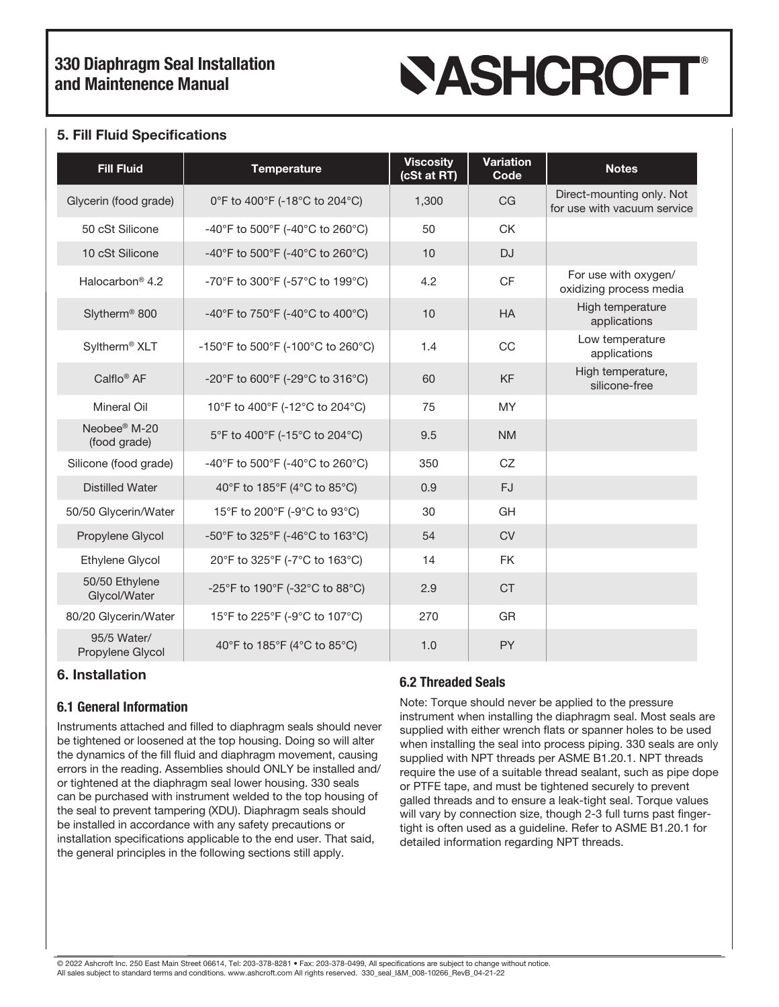## 330 Diaphragm Seal Installation and Maintenence Manual

# **SASHCROFT®**

#### 5. Fill Fluid Specifications

| <b>Fill Fluid</b>                        | <b>Temperature</b>                | <b>Viscosity</b><br>(cSt at RT) | <b>Variation</b><br>Code | <b>Notes</b>                                             |
|------------------------------------------|-----------------------------------|---------------------------------|--------------------------|----------------------------------------------------------|
| Glycerin (food grade)                    | 0°F to 400°F (-18°C to 204°C)     | 1,300                           | CG                       | Direct-mounting only. Not<br>for use with vacuum service |
| 50 cSt Silicone                          | -40°F to 500°F (-40°C to 260°C)   | 50                              | <b>CK</b>                |                                                          |
| 10 cSt Silicone                          | -40°F to 500°F (-40°C to 260°C)   | 10                              | <b>DJ</b>                |                                                          |
| Halocarbon <sup>®</sup> 4.2              | -70°F to 300°F (-57°C to 199°C)   | 4.2                             | <b>CF</b>                | For use with oxygen/<br>oxidizing process media          |
| Slytherm <sup>®</sup> 800                | -40°F to 750°F (-40°C to 400°C)   | 10                              | <b>HA</b>                | High temperature<br>applications                         |
| Syltherm <sup>®</sup> XLT                | -150°F to 500°F (-100°C to 260°C) | 1.4                             | CC                       | Low temperature<br>applications                          |
| Calflo <sup>®</sup> AF                   | -20°F to 600°F (-29°C to 316°C)   | 60                              | <b>KF</b>                | High temperature,<br>silicone-free                       |
| <b>Mineral Oil</b>                       | 10°F to 400°F (-12°C to 204°C)    | 75                              | <b>MY</b>                |                                                          |
| Neobee <sup>®</sup> M-20<br>(food grade) | 5°F to 400°F (-15°C to 204°C)     | 9.5                             | <b>NM</b>                |                                                          |
| Silicone (food grade)                    | -40°F to 500°F (-40°C to 260°C)   | 350                             | CZ                       |                                                          |
| <b>Distilled Water</b>                   | 40°F to 185°F (4°C to 85°C)       | 0.9                             | <b>FJ</b>                |                                                          |
| 50/50 Glycerin/Water                     | 15°F to 200°F (-9°C to 93°C)      | 30                              | GH                       |                                                          |
| Propylene Glycol                         | -50°F to 325°F (-46°C to 163°C)   | 54                              | <b>CV</b>                |                                                          |
| <b>Ethylene Glycol</b>                   | 20°F to 325°F (-7°C to 163°C)     | 14                              | <b>FK</b>                |                                                          |
| 50/50 Ethylene<br>Glycol/Water           | -25°F to 190°F (-32°C to 88°C)    | 2.9                             | <b>CT</b>                |                                                          |
| 80/20 Glycerin/Water                     | 15°F to 225°F (-9°C to 107°C)     | 270                             | GR                       |                                                          |
| 95/5 Water/<br>Propylene Glycol          | 40°F to 185°F (4°C to 85°C)       | 1.0                             | <b>PY</b>                |                                                          |

#### 6. Installation

#### 6.1 General Information

Instruments attached and filled to diaphragm seals should never be tightened or loosened at the top housing. Doing so will alter the dynamics of the fill fluid and diaphragm movement, causing errors in the reading. Assemblies should ONLY be installed and/ or tightened at the diaphragm seal lower housing. 330 seals can be purchased with instrument welded to the top housing of the seal to prevent tampering (XDU). Diaphragm seals should be installed in accordance with any safety precautions or installation specifications applicable to the end user. That said, the general principles in the following sections still apply.

## 6.2 Threaded Seals

Note: Torque should never be applied to the pressure instrument when installing the diaphragm seal. Most seals are supplied with either wrench flats or spanner holes to be used when installing the seal into process piping. 330 seals are only supplied with NPT threads per ASME B1.20.1. NPT threads require the use of a suitable thread sealant, such as pipe dope or PTFE tape, and must be tightened securely to prevent galled threads and to ensure a leak-tight seal. Torque values will vary by connection size, though 2-3 full turns past fingertight is often used as a guideline. Refer to ASME B1.20.1 for detailed information regarding NPT threads.

© 2022 Ashcroft Inc. 250 East Main Street 06614, Tel: 203-378-8281 • Fax: 203-378-0499, All specifications are subject to change without notice. All sales subject to standard terms and conditions. www.ashcroft.com All rights reserved. 330\_seal\_I&M\_008-10266\_RevB\_04-21-22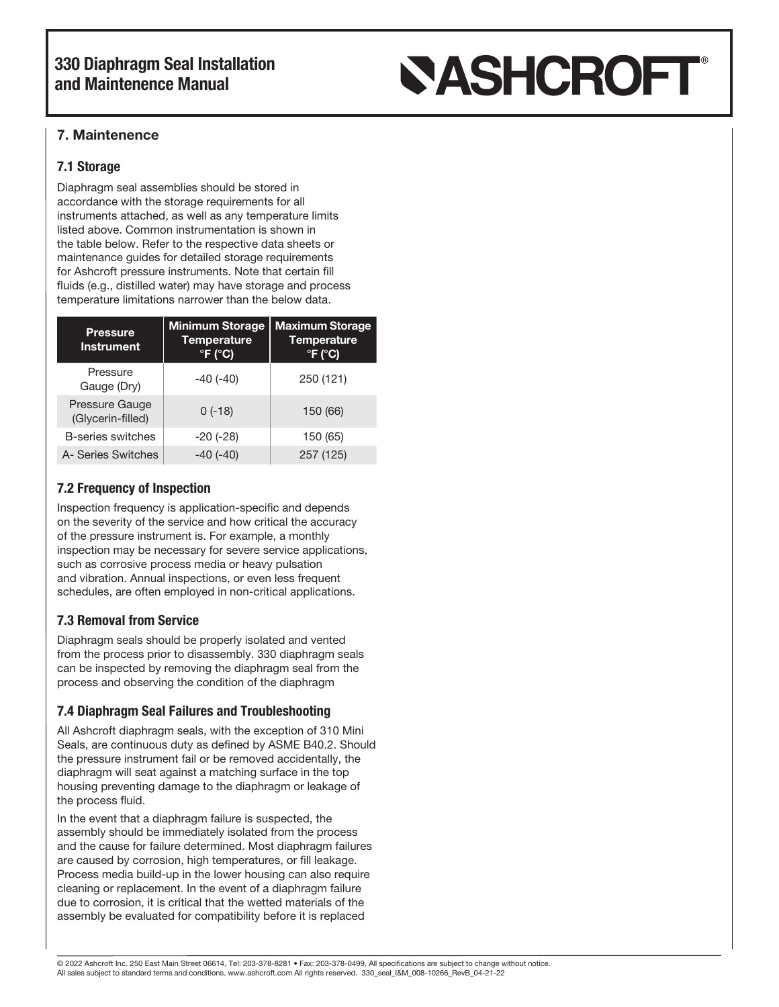## 330 Diaphragm Seal Installation and Maintenence Manual

# **SASHCROFT®**

## 7. Maintenence

## 7.1 Storage

Diaphragm seal assemblies should be stored in accordance with the storage requirements for all instruments attached, as well as any temperature limits listed above. Common instrumentation is shown in the table below. Refer to the respective data sheets or maintenance guides for detailed storage requirements for Ashcroft pressure instruments. Note that certain fill fluids (e.g., distilled water) may have storage and process temperature limitations narrower than the below data.

| <b>Pressure</b><br><b>Instrument</b> | <b>Minimum Storage</b><br><b>Temperature</b><br>$\degree$ F ( $\degree$ C) | <b>Maximum Storage</b><br><b>Temperature</b><br>$^{\circ}$ F ( $^{\circ}$ C) |
|--------------------------------------|----------------------------------------------------------------------------|------------------------------------------------------------------------------|
| Pressure<br>Gauge (Dry)              | $-40(-40)$                                                                 | 250 (121)                                                                    |
| Pressure Gauge<br>(Glycerin-filled)  | $0(-18)$                                                                   | 150 (66)                                                                     |
| <b>B-series switches</b>             | $-20$ $(-28)$                                                              | 150 (65)                                                                     |
| A- Series Switches                   | $-40(-40)$                                                                 | 257 (125)                                                                    |

## 7.2 Frequency of Inspection

Inspection frequency is application-specific and depends on the severity of the service and how critical the accuracy of the pressure instrument is. For example, a monthly inspection may be necessary for severe service applications, such as corrosive process media or heavy pulsation and vibration. Annual inspections, or even less frequent schedules, are often employed in non-critical applications.

## 7.3 Removal from Service

Diaphragm seals should be properly isolated and vented from the process prior to disassembly. 330 diaphragm seals can be inspected by removing the diaphragm seal from the process and observing the condition of the diaphragm

## 7.4 Diaphragm Seal Failures and Troubleshooting

All Ashcroft diaphragm seals, with the exception of 310 Mini Seals, are continuous duty as defined by ASME B40.2. Should the pressure instrument fail or be removed accidentally, the diaphragm will seat against a matching surface in the top housing preventing damage to the diaphragm or leakage of the process fluid.

In the event that a diaphragm failure is suspected, the assembly should be immediately isolated from the process and the cause for failure determined. Most diaphragm failures are caused by corrosion, high temperatures, or fill leakage. Process media build-up in the lower housing can also require cleaning or replacement. In the event of a diaphragm failure due to corrosion, it is critical that the wetted materials of the assembly be evaluated for compatibility before it is replaced